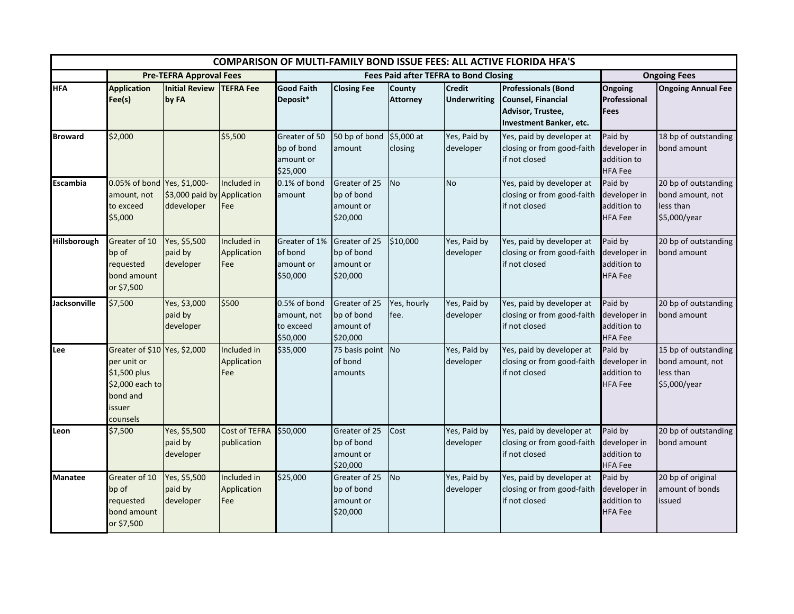| <b>COMPARISON OF MULTI-FAMILY BOND ISSUE FEES: ALL ACTIVE FLORIDA HFA'S</b> |                                                                                                                  |                                                            |                                     |                                                      |                                                      |                           |                                      |                                                                                                  |                                                          |                                                                       |
|-----------------------------------------------------------------------------|------------------------------------------------------------------------------------------------------------------|------------------------------------------------------------|-------------------------------------|------------------------------------------------------|------------------------------------------------------|---------------------------|--------------------------------------|--------------------------------------------------------------------------------------------------|----------------------------------------------------------|-----------------------------------------------------------------------|
|                                                                             | <b>Pre-TEFRA Approval Fees</b>                                                                                   |                                                            |                                     | <b>Fees Paid after TEFRA to Bond Closing</b>         |                                                      |                           |                                      |                                                                                                  | <b>Ongoing Fees</b>                                      |                                                                       |
| <b>HFA</b>                                                                  | <b>Application</b><br>Fee(s)                                                                                     | <b>Initial Review</b><br>by FA                             | <b>TEFRA Fee</b>                    | <b>Good Faith</b><br>Deposit*                        | <b>Closing Fee</b>                                   | County<br><b>Attorney</b> | <b>Credit</b><br><b>Underwriting</b> | <b>Professionals (Bond</b><br>Counsel, Financial<br>Advisor, Trustee,<br>Investment Banker, etc. | Ongoing<br>Professional<br><b>Fees</b>                   | <b>Ongoing Annual Fee</b>                                             |
| <b>Broward</b>                                                              | \$2,000                                                                                                          |                                                            | \$5,500                             | Greater of 50<br>bp of bond<br>amount or<br>\$25,000 | 50 bp of bond<br>amount                              | $$5,000$ at<br>closing    | Yes, Paid by<br>developer            | Yes, paid by developer at<br>closing or from good-faith<br>if not closed                         | Paid by<br>developer in<br>addition to<br><b>HFA Fee</b> | 18 bp of outstanding<br>bond amount                                   |
| Escambia                                                                    | 0.05% of bond<br>amount, not<br>to exceed<br>\$5,000                                                             | Yes, \$1,000-<br>\$3,000 paid by Application<br>ddeveloper | Included in<br>Fee                  | 0.1% of bond<br>amount                               | Greater of 25<br>bp of bond<br>amount or<br>\$20,000 | <b>No</b>                 | <b>No</b>                            | Yes, paid by developer at<br>closing or from good-faith<br>if not closed                         | Paid by<br>developer in<br>addition to<br><b>HFA Fee</b> | 20 bp of outstanding<br>bond amount, not<br>less than<br>\$5,000/year |
| Hillsborough                                                                | Greater of 10<br>bp of<br>requested<br>bond amount<br>or \$7,500                                                 | Yes, \$5,500<br>paid by<br>developer                       | Included in<br>Application<br>Fee   | Greater of 1%<br>of bond<br>amount or<br>\$50,000    | Greater of 25<br>bp of bond<br>amount or<br>\$20,000 | \$10,000                  | Yes, Paid by<br>developer            | Yes, paid by developer at<br>closing or from good-faith<br>if not closed                         | Paid by<br>developer in<br>addition to<br><b>HFA Fee</b> | 20 bp of outstanding<br>bond amount                                   |
| <b>Jacksonville</b>                                                         | \$7,500                                                                                                          | Yes, \$3,000<br>paid by<br>developer                       | \$500                               | 0.5% of bond<br>amount, not<br>to exceed<br>\$50,000 | Greater of 25<br>bp of bond<br>amount of<br>\$20,000 | Yes, hourly<br>fee.       | Yes, Paid by<br>developer            | Yes, paid by developer at<br>closing or from good-faith<br>if not closed                         | Paid by<br>developer in<br>addition to<br><b>HFA Fee</b> | 20 bp of outstanding<br>bond amount                                   |
| Lee                                                                         | Greater of \$10 Yes, \$2,000<br>per unit or<br>\$1,500 plus<br>\$2,000 each to<br>bond and<br>issuer<br>counsels |                                                            | Included in<br>Application<br>Fee   | \$35,000                                             | 75 basis point<br>of bond<br>amounts                 | No                        | Yes, Paid by<br>developer            | Yes, paid by developer at<br>closing or from good-faith<br>if not closed                         | Paid by<br>developer in<br>addition to<br><b>HFA Fee</b> | 15 bp of outstanding<br>bond amount, not<br>less than<br>\$5,000/year |
| Leon                                                                        | \$7,500                                                                                                          | Yes, \$5,500<br>paid by<br>developer                       | <b>Cost of TEFRA</b><br>publication | \$50,000                                             | Greater of 25<br>bp of bond<br>amount or<br>\$20,000 | Cost                      | Yes, Paid by<br>developer            | Yes, paid by developer at<br>closing or from good-faith<br>if not closed                         | Paid by<br>developer in<br>addition to<br><b>HFA Fee</b> | 20 bp of outstanding<br>bond amount                                   |
| <b>Manatee</b>                                                              | Greater of 10<br>bp of<br>requested<br>bond amount<br>or \$7,500                                                 | Yes, \$5,500<br>paid by<br>developer                       | Included in<br>Application<br>Fee   | \$25,000                                             | Greater of 25<br>bp of bond<br>amount or<br>\$20,000 | <b>No</b>                 | Yes, Paid by<br>developer            | Yes, paid by developer at<br>closing or from good-faith<br>if not closed                         | Paid by<br>developer in<br>addition to<br><b>HFA Fee</b> | 20 bp of original<br>amount of bonds<br>issued                        |